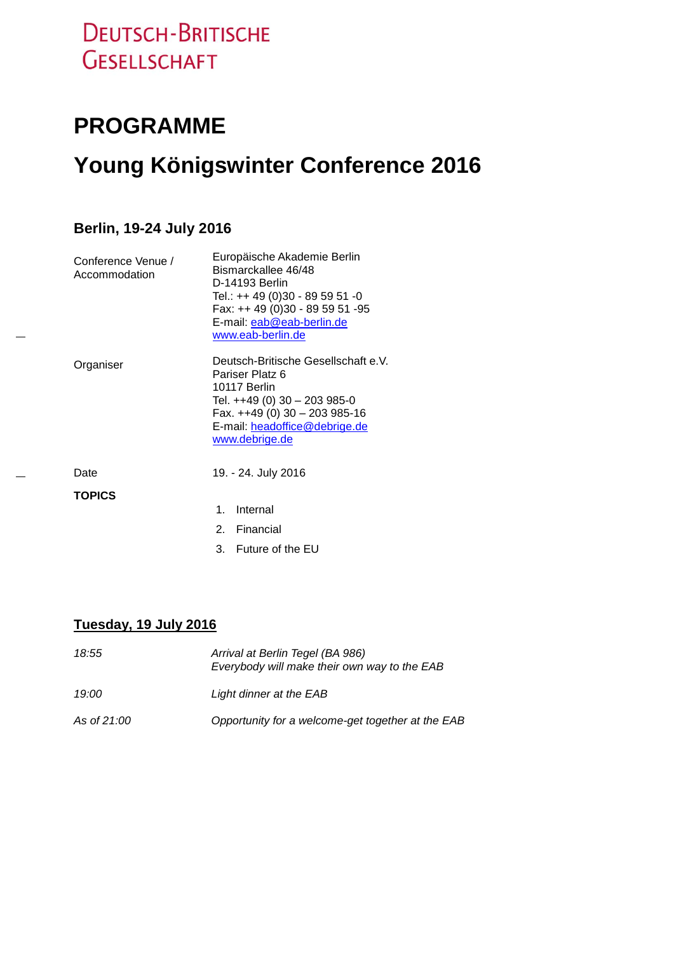# **DEUTSCH-BRITISCHE GESELLSCHAFT**

## **PROGRAMME**

# **Young Königswinter Conference 2016**

### **Berlin, 19-24 July 2016**

| Conference Venue /<br>Accommodation | Europäische Akademie Berlin<br>Bismarckallee 46/48<br>D-14193 Berlin<br>Tel.: ++ 49 (0)30 - 89 59 51 -0<br>Fax: ++ 49 (0)30 - 89 59 51 -95<br>E-mail: eab@eab-berlin.de<br>www.eab-berlin.de |
|-------------------------------------|----------------------------------------------------------------------------------------------------------------------------------------------------------------------------------------------|
| Organiser                           | Deutsch-Britische Gesellschaft e.V.<br>Pariser Platz 6<br>10117 Berlin<br>Tel. ++49 (0) 30 - 203 985-0<br>Fax. ++49 (0) 30 - 203 985-16<br>E-mail: headoffice@debrige.de<br>www.debrige.de   |
| Date                                | 19. - 24. July 2016                                                                                                                                                                          |
| <b>TOPICS</b>                       |                                                                                                                                                                                              |
|                                     | Internal<br>1.                                                                                                                                                                               |
|                                     | Financial<br>$2_{-}$                                                                                                                                                                         |

3. Future of the EU

#### **Tuesday, 19 July 2016**

| 18:55                 | Arrival at Berlin Tegel (BA 986)<br>Everybody will make their own way to the EAB |
|-----------------------|----------------------------------------------------------------------------------|
| 19:00                 | Light dinner at the EAB                                                          |
| As of 21:00 <b>As</b> | Opportunity for a welcome-get together at the EAB                                |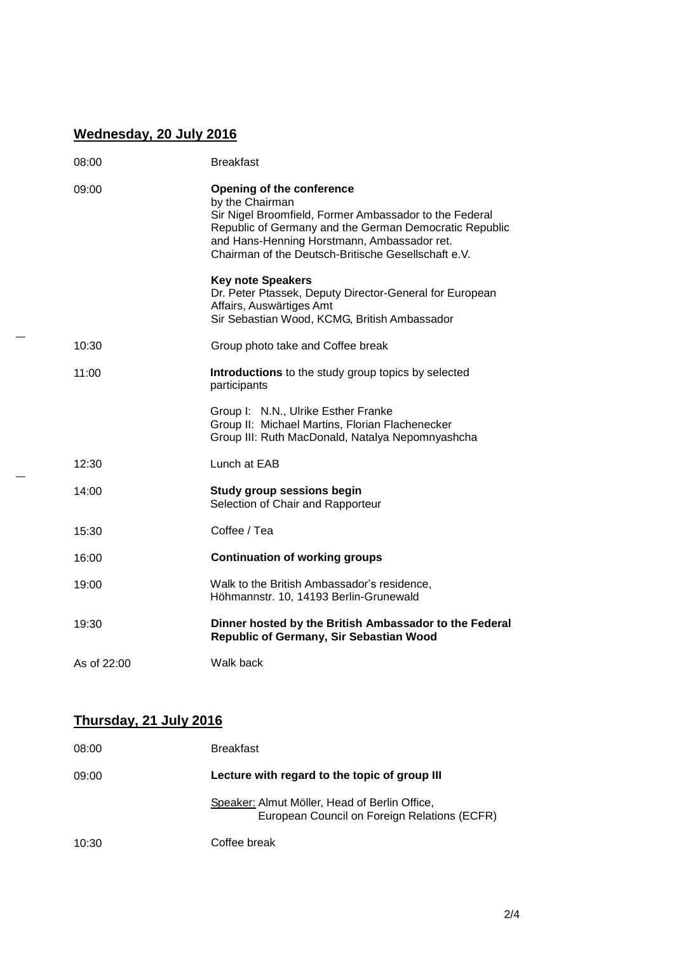## **Wednesday, 20 July 2016**

| 08:00       | <b>Breakfast</b>                                                                                                                                                                                                                                                              |
|-------------|-------------------------------------------------------------------------------------------------------------------------------------------------------------------------------------------------------------------------------------------------------------------------------|
| 09:00       | <b>Opening of the conference</b><br>by the Chairman<br>Sir Nigel Broomfield, Former Ambassador to the Federal<br>Republic of Germany and the German Democratic Republic<br>and Hans-Henning Horstmann, Ambassador ret.<br>Chairman of the Deutsch-Britische Gesellschaft e.V. |
|             | <b>Key note Speakers</b><br>Dr. Peter Ptassek, Deputy Director-General for European<br>Affairs, Auswärtiges Amt<br>Sir Sebastian Wood, KCMG, British Ambassador                                                                                                               |
| 10:30       | Group photo take and Coffee break                                                                                                                                                                                                                                             |
| 11:00       | <b>Introductions</b> to the study group topics by selected<br>participants                                                                                                                                                                                                    |
|             | Group I: N.N., Ulrike Esther Franke<br>Group II: Michael Martins, Florian Flachenecker<br>Group III: Ruth MacDonald, Natalya Nepomnyashcha                                                                                                                                    |
| 12:30       | Lunch at EAB                                                                                                                                                                                                                                                                  |
| 14:00       | <b>Study group sessions begin</b><br>Selection of Chair and Rapporteur                                                                                                                                                                                                        |
| 15:30       | Coffee / Tea                                                                                                                                                                                                                                                                  |
| 16:00       | <b>Continuation of working groups</b>                                                                                                                                                                                                                                         |
| 19:00       | Walk to the British Ambassador's residence,<br>Höhmannstr. 10, 14193 Berlin-Grunewald                                                                                                                                                                                         |
| 19:30       | Dinner hosted by the British Ambassador to the Federal<br>Republic of Germany, Sir Sebastian Wood                                                                                                                                                                             |
| As of 22:00 | Walk back                                                                                                                                                                                                                                                                     |

## **Thursday, 21 July 2016**

| 08:00 | <b>Breakfast</b>                                                                              |
|-------|-----------------------------------------------------------------------------------------------|
| 09:00 | Lecture with regard to the topic of group III                                                 |
|       | Speaker: Almut Möller, Head of Berlin Office,<br>European Council on Foreign Relations (ECFR) |
| 10:30 | Coffee break                                                                                  |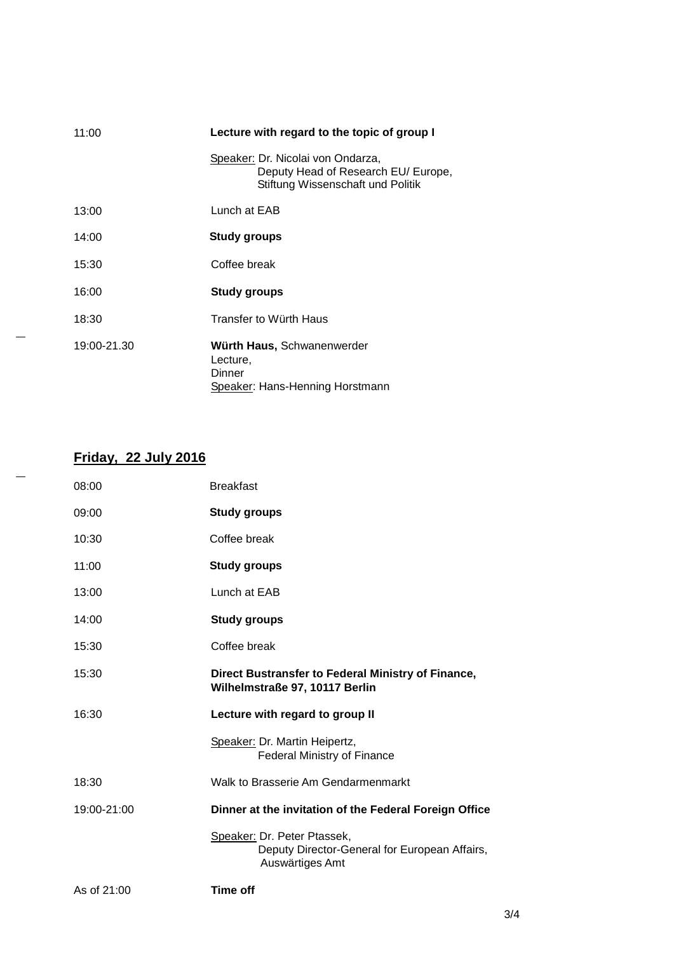| 11:00       | Lecture with regard to the topic of group I                                                                   |
|-------------|---------------------------------------------------------------------------------------------------------------|
|             | Speaker: Dr. Nicolai von Ondarza,<br>Deputy Head of Research EU/ Europe,<br>Stiftung Wissenschaft und Politik |
| 13:00       | Lunch at EAB                                                                                                  |
| 14:00       | <b>Study groups</b>                                                                                           |
| 15:30       | Coffee break                                                                                                  |
| 16:00       | Study groups                                                                                                  |
| 18:30       | Transfer to Würth Haus                                                                                        |
| 19:00-21.30 | Würth Haus, Schwanenwerder<br>Lecture,<br>Dinner<br>Speaker: Hans-Henning Horstmann                           |

## **Friday, 22 July 2016**

| 08:00       | <b>Breakfast</b>                                                                                |
|-------------|-------------------------------------------------------------------------------------------------|
| 09:00       | <b>Study groups</b>                                                                             |
| 10:30       | Coffee break                                                                                    |
| 11:00       | <b>Study groups</b>                                                                             |
| 13:00       | Lunch at EAB                                                                                    |
| 14:00       | Study groups                                                                                    |
| 15:30       | Coffee break                                                                                    |
| 15:30       | Direct Bustransfer to Federal Ministry of Finance,<br>Wilhelmstraße 97, 10117 Berlin            |
| 16:30       | Lecture with regard to group II                                                                 |
|             | Speaker: Dr. Martin Heipertz,<br>Federal Ministry of Finance                                    |
| 18:30       | Walk to Brasserie Am Gendarmenmarkt                                                             |
| 19:00-21:00 | Dinner at the invitation of the Federal Foreign Office                                          |
|             | Speaker: Dr. Peter Ptassek,<br>Deputy Director-General for European Affairs,<br>Auswärtiges Amt |
|             |                                                                                                 |

3/4